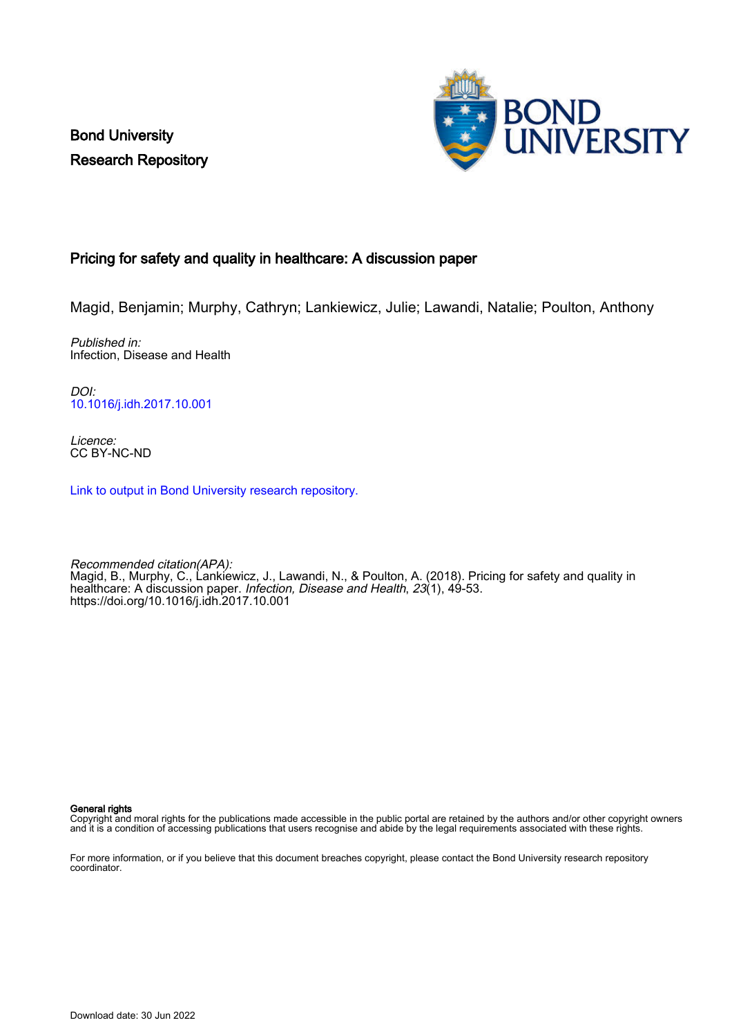Bond University Research Repository



# Pricing for safety and quality in healthcare: A discussion paper

Magid, Benjamin; Murphy, Cathryn; Lankiewicz, Julie; Lawandi, Natalie; Poulton, Anthony

Published in: Infection, Disease and Health

DOI: [10.1016/j.idh.2017.10.001](https://doi.org/10.1016/j.idh.2017.10.001)

Licence: CC BY-NC-ND

[Link to output in Bond University research repository.](https://research.bond.edu.au/en/publications/3e55f311-b969-4600-bbfb-716486d177a7)

Recommended citation(APA): Magid, B., Murphy, C., Lankiewicz, J., Lawandi, N., & Poulton, A. (2018). Pricing for safety and quality in healthcare: A discussion paper. Infection, Disease and Health, 23(1), 49-53. <https://doi.org/10.1016/j.idh.2017.10.001>

General rights

Copyright and moral rights for the publications made accessible in the public portal are retained by the authors and/or other copyright owners and it is a condition of accessing publications that users recognise and abide by the legal requirements associated with these rights.

For more information, or if you believe that this document breaches copyright, please contact the Bond University research repository coordinator.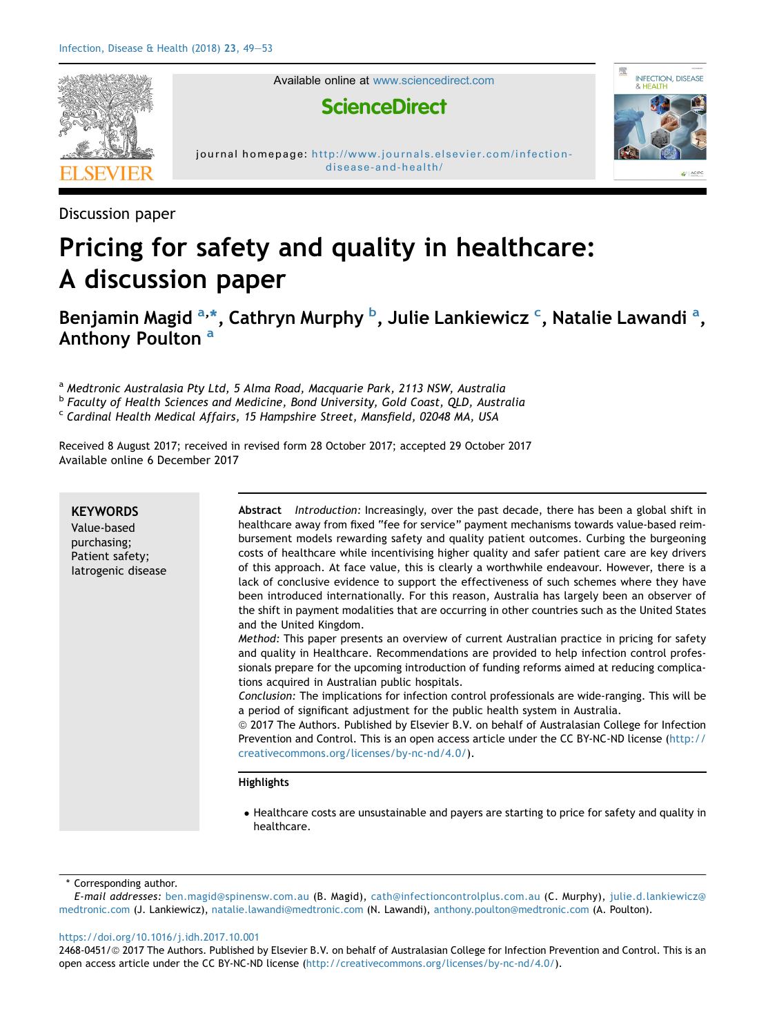

Available online at [www.sciencedirect.com](www.sciencedirect.com/science/journal/24680451)

赐

INFECTION, DISEASE

# **ScienceDirect**



Discussion paper

# Pricing for safety and quality in healthcare: A discussion paper

Benjamin Magid <sup>a,\*</sup>, Cathryn Murphy <sup>b</sup>, Julie Lankiewicz <sup>c</sup>, Natalie Lawandi <sup>a</sup>, Anthony Poulton<sup>a</sup>

a Medtronic Australasia Pty Ltd, 5 Alma Road, Macquarie Park, 2113 NSW, Australia

<sup>b</sup> Faculty of Health Sciences and Medicine, Bond University, Gold Coast, QLD, Australia

c Cardinal Health Medical Affairs, 15 Hampshire Street, Mansfield, 02048 MA, USA

Received 8 August 2017; received in revised form 28 October 2017; accepted 29 October 2017 Available online 6 December 2017

| <b>KEYWORDS</b><br>Value-based<br>purchasing;<br>Patient safety;<br>latrogenic disease | Abstract Introduction: Increasingly, over the past decade, there has been a global shift in<br>healthcare away from fixed "fee for service" payment mechanisms towards value-based reim-<br>bursement models rewarding safety and quality patient outcomes. Curbing the burgeoning<br>costs of healthcare while incentivising higher quality and safer patient care are key drivers<br>of this approach. At face value, this is clearly a worthwhile endeavour. However, there is a<br>lack of conclusive evidence to support the effectiveness of such schemes where they have<br>been introduced internationally. For this reason, Australia has largely been an observer of<br>the shift in payment modalities that are occurring in other countries such as the United States<br>and the United Kingdom.<br>Method: This paper presents an overview of current Australian practice in pricing for safety<br>and quality in Healthcare. Recommendations are provided to help infection control profes-<br>sionals prepare for the upcoming introduction of funding reforms aimed at reducing complica-<br>tions acquired in Australian public hospitals.<br>Conclusion: The implications for infection control professionals are wide-ranging. This will be<br>a period of significant adjustment for the public health system in Australia.<br>© 2017 The Authors. Published by Elsevier B.V. on behalf of Australasian College for Infection<br>Prevention and Control. This is an open access article under the CC BY-NC-ND license (http://<br>creativecommons.org/licenses/by-nc-nd/4.0/). |
|----------------------------------------------------------------------------------------|----------------------------------------------------------------------------------------------------------------------------------------------------------------------------------------------------------------------------------------------------------------------------------------------------------------------------------------------------------------------------------------------------------------------------------------------------------------------------------------------------------------------------------------------------------------------------------------------------------------------------------------------------------------------------------------------------------------------------------------------------------------------------------------------------------------------------------------------------------------------------------------------------------------------------------------------------------------------------------------------------------------------------------------------------------------------------------------------------------------------------------------------------------------------------------------------------------------------------------------------------------------------------------------------------------------------------------------------------------------------------------------------------------------------------------------------------------------------------------------------------------------------------------------------------------------------------------------------------|
|                                                                                        | <b>Highlights</b><br>• Healthcare costs are unsustainable and payers are starting to price for safety and quality in<br>healthcare.                                                                                                                                                                                                                                                                                                                                                                                                                                                                                                                                                                                                                                                                                                                                                                                                                                                                                                                                                                                                                                                                                                                                                                                                                                                                                                                                                                                                                                                                |

Corresponding author.

E-mail addresses: [ben.magid@spinensw.com.au](mailto:ben.magid@spinensw.com.au) (B. Magid), [cath@infectioncontrolplus.com.au](mailto:cath@infectioncontrolplus.com.au) (C. Murphy), [julie.d.lankiewicz@](mailto:julie.d.lankiewicz@medtronic.com) [medtronic.com](mailto:julie.d.lankiewicz@medtronic.com) (J. Lankiewicz), [natalie.lawandi@medtronic.com](mailto:natalie.lawandi@medtronic.com) (N. Lawandi), [anthony.poulton@medtronic.com](mailto:anthony.poulton@medtronic.com) (A. Poulton).

<https://doi.org/10.1016/j.idh.2017.10.001>

2468-0451/@ 2017 The Authors. Published by Elsevier B.V. on behalf of Australasian College for Infection Prevention and Control. This is an open access article under the CC BY-NC-ND license (<http://creativecommons.org/licenses/by-nc-nd/4.0/>).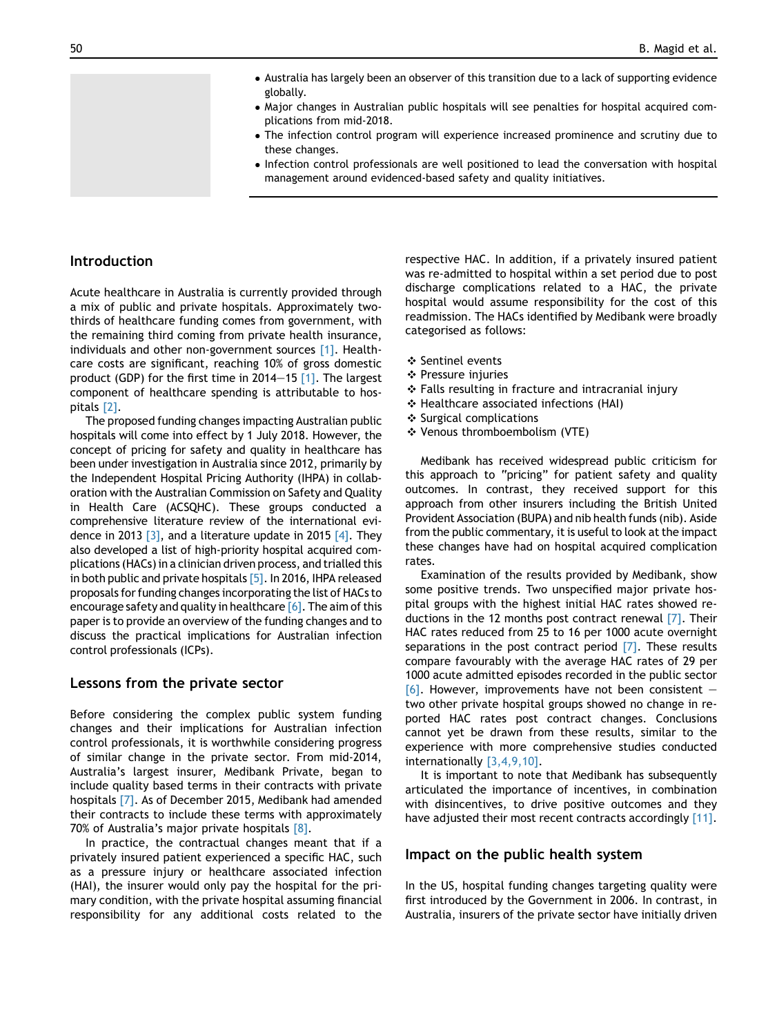- Australia has largely been an observer of this transition due to a lack of supporting evidence globally.
- Major changes in Australian public hospitals will see penalties for hospital acquired complications from mid-2018.
- The infection control program will experience increased prominence and scrutiny due to these changes.
- Infection control professionals are well positioned to lead the conversation with hospital management around evidenced-based safety and quality initiatives.

# Introduction

Acute healthcare in Australia is currently provided through a mix of public and private hospitals. Approximately twothirds of healthcare funding comes from government, with the remaining third coming from private health insurance, individuals and other non-government sources [\[1\]](#page-4-0). Healthcare costs are significant, reaching 10% of gross domestic product (GDP) for the first time in 2014–15  $[1]$ . The largest component of healthcare spending is attributable to hospitals [\[2\]](#page-4-0).

The proposed funding changes impacting Australian public hospitals will come into effect by 1 July 2018. However, the concept of pricing for safety and quality in healthcare has been under investigation in Australia since 2012, primarily by the Independent Hospital Pricing Authority (IHPA) in collaboration with the Australian Commission on Safety and Quality in Health Care (ACSQHC). These groups conducted a comprehensive literature review of the international evidence in 2013  $\overline{3}$ , and a literature update in 2015  $\overline{4}$ . They also developed a list of high-priority hospital acquired complications (HACs) in a clinician driven process, and trialled this in both public and private hospitals [\[5\]](#page-5-0). In 2016, IHPA released proposals for funding changes incorporating the list of HACs to encourage safety and quality in healthcare  $[6]$ . The aim of this paper is to provide an overview of the funding changes and to discuss the practical implications for Australian infection control professionals (ICPs).

#### Lessons from the private sector

Before considering the complex public system funding changes and their implications for Australian infection control professionals, it is worthwhile considering progress of similar change in the private sector. From mid-2014, Australia's largest insurer, Medibank Private, began to include quality based terms in their contracts with private hospitals [\[7\].](#page-5-0) As of December 2015, Medibank had amended their contracts to include these terms with approximately 70% of Australia's major private hospitals [\[8\]](#page-5-0).

In practice, the contractual changes meant that if a privately insured patient experienced a specific HAC, such as a pressure injury or healthcare associated infection (HAI), the insurer would only pay the hospital for the primary condition, with the private hospital assuming financial responsibility for any additional costs related to the

respective HAC. In addition, if a privately insured patient was re-admitted to hospital within a set period due to post discharge complications related to a HAC, the private hospital would assume responsibility for the cost of this readmission. The HACs identified by Medibank were broadly categorised as follows:

- ❖ Sentinel events
- ❖ Pressure injuries
- ❖ Falls resulting in fracture and intracranial injury
- ❖ Healthcare associated infections (HAI)
- ❖ Surgical complications
- ❖ Venous thromboembolism (VTE)

Medibank has received widespread public criticism for this approach to "pricing" for patient safety and quality outcomes. In contrast, they received support for this approach from other insurers including the British United Provident Association (BUPA) and nib health funds (nib). Aside from the public commentary, it is useful to look at the impact these changes have had on hospital acquired complication rates.

Examination of the results provided by Medibank, show some positive trends. Two unspecified major private hospital groups with the highest initial HAC rates showed reductions in the 12 months post contract renewal [\[7\].](#page-5-0) Their HAC rates reduced from 25 to 16 per 1000 acute overnight separations in the post contract period  $[7]$ . These results compare favourably with the average HAC rates of 29 per 1000 acute admitted episodes recorded in the public sector  $[6]$ . However, improvements have not been consistent two other private hospital groups showed no change in reported HAC rates post contract changes. Conclusions cannot yet be drawn from these results, similar to the experience with more comprehensive studies conducted internationally [\[3,4,9,10\].](#page-4-0)

It is important to note that Medibank has subsequently articulated the importance of incentives, in combination with disincentives, to drive positive outcomes and they have adjusted their most recent contracts accordingly [\[11\].](#page-5-0)

#### Impact on the public health system

In the US, hospital funding changes targeting quality were first introduced by the Government in 2006. In contrast, in Australia, insurers of the private sector have initially driven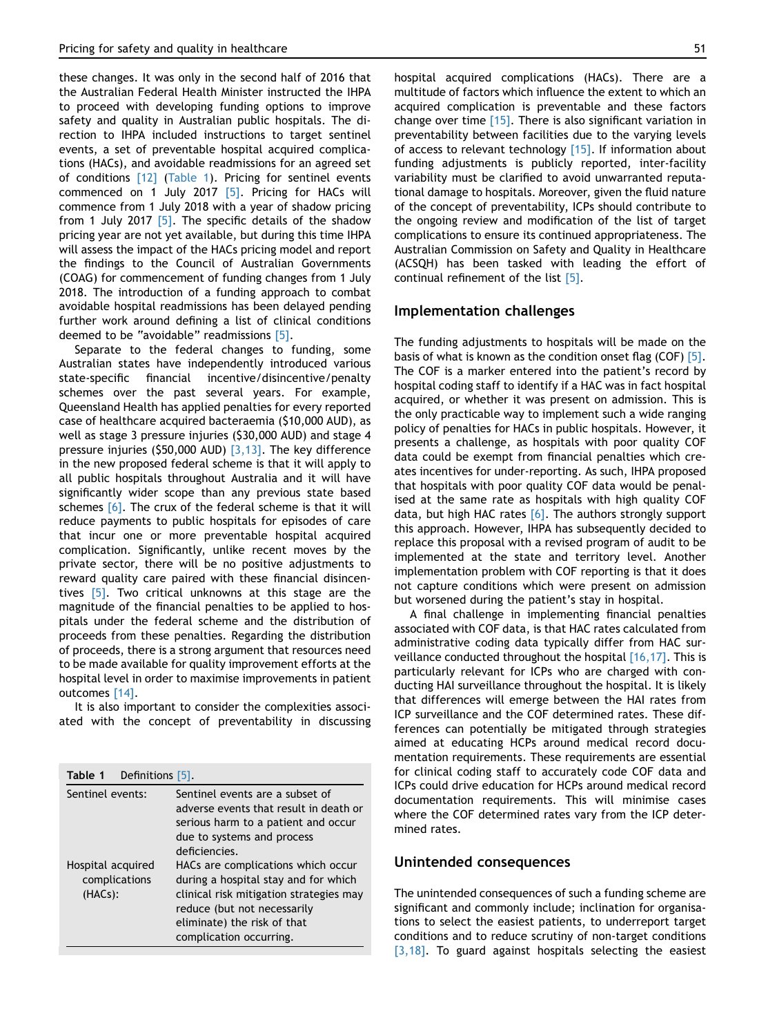these changes. It was only in the second half of 2016 that the Australian Federal Health Minister instructed the IHPA to proceed with developing funding options to improve safety and quality in Australian public hospitals. The direction to IHPA included instructions to target sentinel events, a set of preventable hospital acquired complications (HACs), and avoidable readmissions for an agreed set of conditions [\[12\]](#page-5-0) (Table 1). Pricing for sentinel events commenced on 1 July 2017 [\[5\]](#page-5-0). Pricing for HACs will commence from 1 July 2018 with a year of shadow pricing from 1 July 2017  $\overline{5}$ . The specific details of the shadow pricing year are not yet available, but during this time IHPA will assess the impact of the HACs pricing model and report the findings to the Council of Australian Governments (COAG) for commencement of funding changes from 1 July 2018. The introduction of a funding approach to combat avoidable hospital readmissions has been delayed pending further work around defining a list of clinical conditions deemed to be "avoidable" readmissions [\[5\]](#page-5-0).

Separate to the federal changes to funding, some Australian states have independently introduced various state-specific financial incentive/disincentive/penalty schemes over the past several years. For example, Queensland Health has applied penalties for every reported case of healthcare acquired bacteraemia (\$10,000 AUD), as well as stage 3 pressure injuries (\$30,000 AUD) and stage 4 pressure injuries (\$50,000 AUD) [\[3,13\].](#page-4-0) The key difference in the new proposed federal scheme is that it will apply to all public hospitals throughout Australia and it will have significantly wider scope than any previous state based schemes [\[6\].](#page-5-0) The crux of the federal scheme is that it will reduce payments to public hospitals for episodes of care that incur one or more preventable hospital acquired complication. Significantly, unlike recent moves by the private sector, there will be no positive adjustments to reward quality care paired with these financial disincen-tives [\[5\]](#page-5-0). Two critical unknowns at this stage are the magnitude of the financial penalties to be applied to hospitals under the federal scheme and the distribution of proceeds from these penalties. Regarding the distribution of proceeds, there is a strong argument that resources need to be made available for quality improvement efforts at the hospital level in order to maximise improvements in patient outcomes [\[14\].](#page-5-0)

It is also important to consider the complexities associated with the concept of preventability in discussing

| Table 1<br>Definitions [5].                   |                                                                                                                                                                                                                |
|-----------------------------------------------|----------------------------------------------------------------------------------------------------------------------------------------------------------------------------------------------------------------|
| Sentinel events:                              | Sentinel events are a subset of<br>adverse events that result in death or<br>serious harm to a patient and occur<br>due to systems and process<br>deficiencies.                                                |
| Hospital acquired<br>complications<br>(HACs): | HACs are complications which occur<br>during a hospital stay and for which<br>clinical risk mitigation strategies may<br>reduce (but not necessarily<br>eliminate) the risk of that<br>complication occurring. |

hospital acquired complications (HACs). There are a multitude of factors which influence the extent to which an acquired complication is preventable and these factors change over time  $[15]$ . There is also significant variation in preventability between facilities due to the varying levels of access to relevant technology [\[15\]](#page-5-0). If information about funding adjustments is publicly reported, inter-facility variability must be clarified to avoid unwarranted reputational damage to hospitals. Moreover, given the fluid nature of the concept of preventability, ICPs should contribute to the ongoing review and modification of the list of target complications to ensure its continued appropriateness. The Australian Commission on Safety and Quality in Healthcare (ACSQH) has been tasked with leading the effort of continual refinement of the list [\[5\].](#page-5-0)

#### Implementation challenges

The funding adjustments to hospitals will be made on the basis of what is known as the condition onset flag (COF) [\[5\]](#page-5-0). The COF is a marker entered into the patient's record by hospital coding staff to identify if a HAC was in fact hospital acquired, or whether it was present on admission. This is the only practicable way to implement such a wide ranging policy of penalties for HACs in public hospitals. However, it presents a challenge, as hospitals with poor quality COF data could be exempt from financial penalties which creates incentives for under-reporting. As such, IHPA proposed that hospitals with poor quality COF data would be penalised at the same rate as hospitals with high quality COF data, but high HAC rates  $[6]$ . The authors strongly support this approach. However, IHPA has subsequently decided to replace this proposal with a revised program of audit to be implemented at the state and territory level. Another implementation problem with COF reporting is that it does not capture conditions which were present on admission but worsened during the patient's stay in hospital.

A final challenge in implementing financial penalties associated with COF data, is that HAC rates calculated from administrative coding data typically differ from HAC surveillance conducted throughout the hospital [\[16,17\]](#page-5-0). This is particularly relevant for ICPs who are charged with conducting HAI surveillance throughout the hospital. It is likely that differences will emerge between the HAI rates from ICP surveillance and the COF determined rates. These differences can potentially be mitigated through strategies aimed at educating HCPs around medical record documentation requirements. These requirements are essential for clinical coding staff to accurately code COF data and ICPs could drive education for HCPs around medical record documentation requirements. This will minimise cases where the COF determined rates vary from the ICP determined rates.

#### Unintended consequences

The unintended consequences of such a funding scheme are significant and commonly include; inclination for organisations to select the easiest patients, to underreport target conditions and to reduce scrutiny of non-target conditions [\[3,18\]](#page-4-0). To guard against hospitals selecting the easiest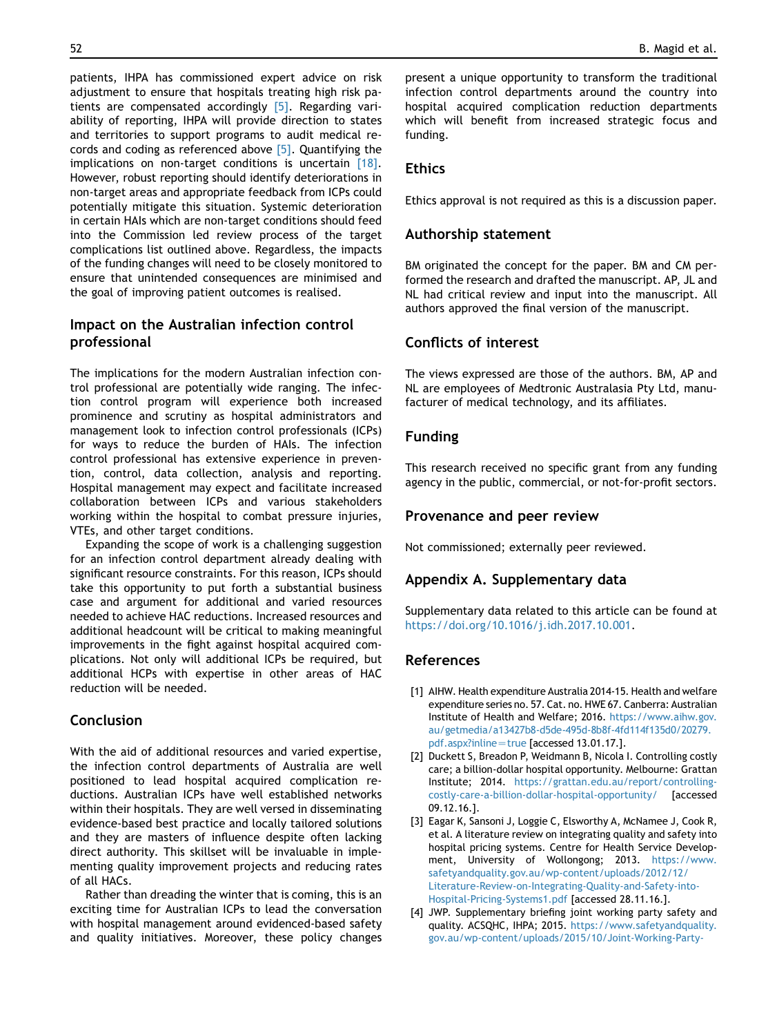<span id="page-4-0"></span>patients, IHPA has commissioned expert advice on risk adjustment to ensure that hospitals treating high risk patients are compensated accordingly [\[5\]](#page-5-0). Regarding variability of reporting, IHPA will provide direction to states and territories to support programs to audit medical records and coding as referenced above [\[5\]](#page-5-0). Quantifying the implications on non-target conditions is uncertain [\[18\].](#page-5-0) However, robust reporting should identify deteriorations in non-target areas and appropriate feedback from ICPs could potentially mitigate this situation. Systemic deterioration in certain HAIs which are non-target conditions should feed into the Commission led review process of the target complications list outlined above. Regardless, the impacts of the funding changes will need to be closely monitored to ensure that unintended consequences are minimised and the goal of improving patient outcomes is realised.

# Impact on the Australian infection control professional

The implications for the modern Australian infection control professional are potentially wide ranging. The infection control program will experience both increased prominence and scrutiny as hospital administrators and management look to infection control professionals (ICPs) for ways to reduce the burden of HAIs. The infection control professional has extensive experience in prevention, control, data collection, analysis and reporting. Hospital management may expect and facilitate increased collaboration between ICPs and various stakeholders working within the hospital to combat pressure injuries, VTEs, and other target conditions.

Expanding the scope of work is a challenging suggestion for an infection control department already dealing with significant resource constraints. For this reason, ICPs should take this opportunity to put forth a substantial business case and argument for additional and varied resources needed to achieve HAC reductions. Increased resources and additional headcount will be critical to making meaningful improvements in the fight against hospital acquired complications. Not only will additional ICPs be required, but additional HCPs with expertise in other areas of HAC reduction will be needed.

# Conclusion

With the aid of additional resources and varied expertise, the infection control departments of Australia are well positioned to lead hospital acquired complication reductions. Australian ICPs have well established networks within their hospitals. They are well versed in disseminating evidence-based best practice and locally tailored solutions and they are masters of influence despite often lacking direct authority. This skillset will be invaluable in implementing quality improvement projects and reducing rates of all HACs.

Rather than dreading the winter that is coming, this is an exciting time for Australian ICPs to lead the conversation with hospital management around evidenced-based safety and quality initiatives. Moreover, these policy changes

present a unique opportunity to transform the traditional infection control departments around the country into hospital acquired complication reduction departments which will benefit from increased strategic focus and funding.

#### Ethics

Ethics approval is not required as this is a discussion paper.

#### Authorship statement

BM originated the concept for the paper. BM and CM performed the research and drafted the manuscript. AP, JL and NL had critical review and input into the manuscript. All authors approved the final version of the manuscript.

# Conflicts of interest

The views expressed are those of the authors. BM, AP and NL are employees of Medtronic Australasia Pty Ltd, manufacturer of medical technology, and its affiliates.

# Funding

This research received no specific grant from any funding agency in the public, commercial, or not-for-profit sectors.

#### Provenance and peer review

Not commissioned; externally peer reviewed.

# Appendix A. Supplementary data

Supplementary data related to this article can be found at <https://doi.org/10.1016/j.idh.2017.10.001>.

#### References

- [1] AIHW. Health expenditure Australia 2014-15. Health and welfare expenditure series no. 57. Cat. no. HWE 67. Canberra: Australian Institute of Health and Welfare; 2016. [https://www.aihw.gov.](https://www.aihw.gov.au/getmedia/a13427b8-d5de-495d-8b8f-4fd114f135d0/20279.pdf.aspx?inline=true) [au/getmedia/a13427b8-d5de-495d-8b8f-4fd114f135d0/20279.](https://www.aihw.gov.au/getmedia/a13427b8-d5de-495d-8b8f-4fd114f135d0/20279.pdf.aspx?inline=true) [pdf.aspx?inline](https://www.aihw.gov.au/getmedia/a13427b8-d5de-495d-8b8f-4fd114f135d0/20279.pdf.aspx?inline=true)=true [accessed 13.01.17.].
- [2] Duckett S, Breadon P, Weidmann B, Nicola I. Controlling costly care; a billion-dollar hospital opportunity. Melbourne: Grattan Institute; 2014. [https://grattan.edu.au/report/controlling](https://grattan.edu.au/report/controlling-costly-care-a-billion-dollar-hospital-opportunity/)[costly-care-a-billion-dollar-hospital-opportunity/](https://grattan.edu.au/report/controlling-costly-care-a-billion-dollar-hospital-opportunity/) [accessed 09.12.16.].
- [3] Eagar K, Sansoni J, Loggie C, Elsworthy A, McNamee J, Cook R, et al. A literature review on integrating quality and safety into hospital pricing systems. Centre for Health Service Development, University of Wollongong; 2013. [https://www.](https://www.safetyandquality.gov.au/wp-content/uploads/2012/12/Literature-Review-on-Integrating-Quality-and-Safety-into-Hospital-Pricing-Systems1.pdf) [safetyandquality.gov.au/wp-content/uploads/2012/12/](https://www.safetyandquality.gov.au/wp-content/uploads/2012/12/Literature-Review-on-Integrating-Quality-and-Safety-into-Hospital-Pricing-Systems1.pdf) [Literature-Review-on-Integrating-Quality-and-Safety-into-](https://www.safetyandquality.gov.au/wp-content/uploads/2012/12/Literature-Review-on-Integrating-Quality-and-Safety-into-Hospital-Pricing-Systems1.pdf)[Hospital-Pricing-Systems1.pdf](https://www.safetyandquality.gov.au/wp-content/uploads/2012/12/Literature-Review-on-Integrating-Quality-and-Safety-into-Hospital-Pricing-Systems1.pdf) [accessed 28.11.16.].
- [4] JWP. Supplementary briefing joint working party safety and quality. ACSQHC, IHPA; 2015. [https://www.safetyandquality.](https://www.safetyandquality.gov.au/wp-content/uploads/2015/10/Joint-Working-Party-Supplementary-Briefing-and-literature-update.pdf) [gov.au/wp-content/uploads/2015/10/Joint-Working-Party-](https://www.safetyandquality.gov.au/wp-content/uploads/2015/10/Joint-Working-Party-Supplementary-Briefing-and-literature-update.pdf)